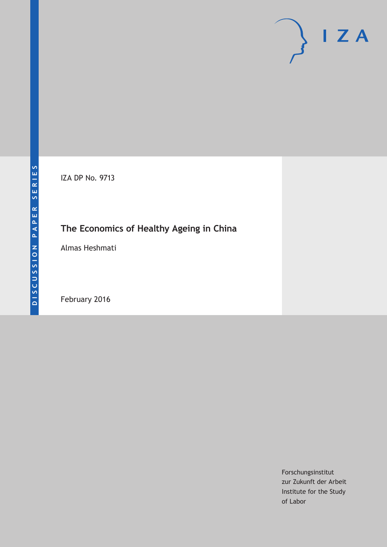IZA DP No. 9713

# **The Economics of Healthy Ageing in China**

Almas Heshmati

February 2016

Forschungsinstitut zur Zukunft der Arbeit Institute for the Study of Labor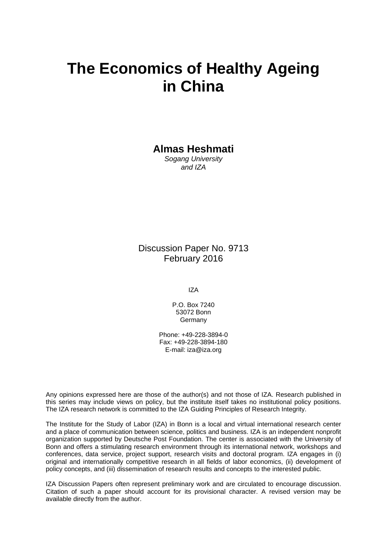# **The Economics of Healthy Ageing in China**

**Almas Heshmati** 

*Sogang University and IZA* 

Discussion Paper No. 9713 February 2016

IZA

P.O. Box 7240 53072 Bonn Germany

Phone: +49-228-3894-0 Fax: +49-228-3894-180 E-mail: iza@iza.org

Any opinions expressed here are those of the author(s) and not those of IZA. Research published in this series may include views on policy, but the institute itself takes no institutional policy positions. The IZA research network is committed to the IZA Guiding Principles of Research Integrity.

The Institute for the Study of Labor (IZA) in Bonn is a local and virtual international research center and a place of communication between science, politics and business. IZA is an independent nonprofit organization supported by Deutsche Post Foundation. The center is associated with the University of Bonn and offers a stimulating research environment through its international network, workshops and conferences, data service, project support, research visits and doctoral program. IZA engages in (i) original and internationally competitive research in all fields of labor economics, (ii) development of policy concepts, and (iii) dissemination of research results and concepts to the interested public.

IZA Discussion Papers often represent preliminary work and are circulated to encourage discussion. Citation of such a paper should account for its provisional character. A revised version may be available directly from the author.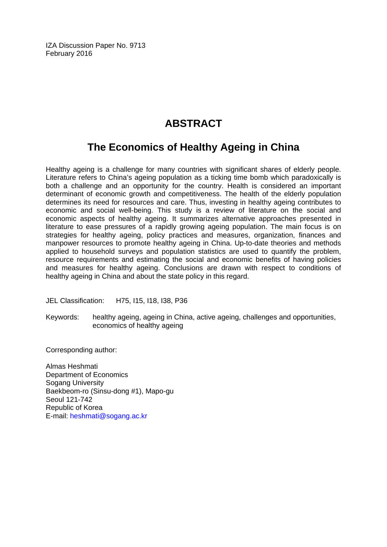IZA Discussion Paper No. 9713 February 2016

# **ABSTRACT**

# **The Economics of Healthy Ageing in China**

Healthy ageing is a challenge for many countries with significant shares of elderly people. Literature refers to China's ageing population as a ticking time bomb which paradoxically is both a challenge and an opportunity for the country. Health is considered an important determinant of economic growth and competitiveness. The health of the elderly population determines its need for resources and care. Thus, investing in healthy ageing contributes to economic and social well-being. This study is a review of literature on the social and economic aspects of healthy ageing. It summarizes alternative approaches presented in literature to ease pressures of a rapidly growing ageing population. The main focus is on strategies for healthy ageing, policy practices and measures, organization, finances and manpower resources to promote healthy ageing in China. Up-to-date theories and methods applied to household surveys and population statistics are used to quantify the problem, resource requirements and estimating the social and economic benefits of having policies and measures for healthy ageing. Conclusions are drawn with respect to conditions of healthy ageing in China and about the state policy in this regard.

JEL Classification: H75, I15, I18, I38, P36

Keywords: healthy ageing, ageing in China, active ageing, challenges and opportunities, economics of healthy ageing

Corresponding author:

Almas Heshmati Department of Economics Sogang University Baekbeom-ro (Sinsu-dong #1), Mapo-gu Seoul 121-742 Republic of Korea E-mail: heshmati@sogang.ac.kr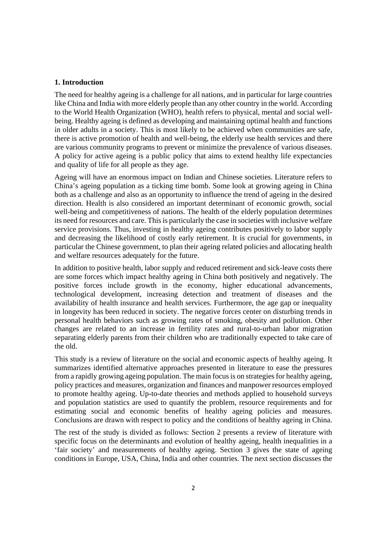#### **1. Introduction**

The need for healthy ageing is a challenge for all nations, and in particular for large countries like China and India with more elderly people than any other country in the world. According to the World Health Organization (WHO), health refers to physical, mental and social wellbeing. Healthy ageing is defined as developing and maintaining optimal health and functions in older adults in a society. This is most likely to be achieved when communities are safe, there is active promotion of health and well-being, the elderly use health services and there are various community programs to prevent or minimize the prevalence of various diseases. A policy for active ageing is a public policy that aims to extend healthy life expectancies and quality of life for all people as they age.

Ageing will have an enormous impact on Indian and Chinese societies. Literature refers to China's ageing population as a ticking time bomb. Some look at growing ageing in China both as a challenge and also as an opportunity to influence the trend of ageing in the desired direction. Health is also considered an important determinant of economic growth, social well-being and competitiveness of nations. The health of the elderly population determines its need for resources and care. This is particularly the case in societies with inclusive welfare service provisions. Thus, investing in healthy ageing contributes positively to labor supply and decreasing the likelihood of costly early retirement. It is crucial for governments, in particular the Chinese government, to plan their ageing related policies and allocating health and welfare resources adequately for the future.

In addition to positive health, labor supply and reduced retirement and sick-leave costs there are some forces which impact healthy ageing in China both positively and negatively. The positive forces include growth in the economy, higher educational advancements, technological development, increasing detection and treatment of diseases and the availability of health insurance and health services. Furthermore, the age gap or inequality in longevity has been reduced in society. The negative forces center on disturbing trends in personal health behaviors such as growing rates of smoking, obesity and pollution. Other changes are related to an increase in fertility rates and rural-to-urban labor migration separating elderly parents from their children who are traditionally expected to take care of the old.

This study is a review of literature on the social and economic aspects of healthy ageing. It summarizes identified alternative approaches presented in literature to ease the pressures from a rapidly growing ageing population. The main focus is on strategies for healthy ageing, policy practices and measures, organization and finances and manpower resources employed to promote healthy ageing. Up-to-date theories and methods applied to household surveys and population statistics are used to quantify the problem, resource requirements and for estimating social and economic benefits of healthy ageing policies and measures. Conclusions are drawn with respect to policy and the conditions of healthy ageing in China.

The rest of the study is divided as follows: Section 2 presents a review of literature with specific focus on the determinants and evolution of healthy ageing, health inequalities in a 'fair society' and measurements of healthy ageing. Section 3 gives the state of ageing conditions in Europe, USA, China, India and other countries. The next section discusses the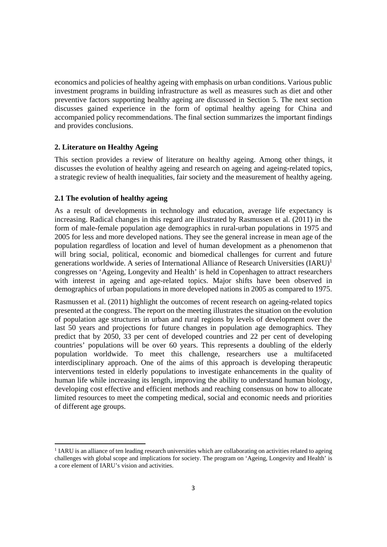economics and policies of healthy ageing with emphasis on urban conditions. Various public investment programs in building infrastructure as well as measures such as diet and other preventive factors supporting healthy ageing are discussed in Section 5. The next section discusses gained experience in the form of optimal healthy ageing for China and accompanied policy recommendations. The final section summarizes the important findings and provides conclusions.

# **2. Literature on Healthy Ageing**

This section provides a review of literature on healthy ageing. Among other things, it discusses the evolution of healthy ageing and research on ageing and ageing-related topics, a strategic review of health inequalities, fair society and the measurement of healthy ageing.

# **2.1 The evolution of healthy ageing**

As a result of developments in technology and education, average life expectancy is increasing. Radical changes in this regard are illustrated by Rasmussen et al. (2011) in the form of male-female population age demographics in rural-urban populations in 1975 and 2005 for less and more developed nations. They see the general increase in mean age of the population regardless of location and level of human development as a phenomenon that will bring social, political, economic and biomedical challenges for current and future generations worldwide. A series of International Alliance of Research Universities (IARU)<sup>1</sup> congresses on 'Ageing, Longevity and Health' is held in Copenhagen to attract researchers with interest in ageing and age-related topics. Major shifts have been observed in demographics of urban populations in more developed nations in 2005 as compared to 1975.

Rasmussen et al. (2011) highlight the outcomes of recent research on ageing-related topics presented at the congress. The report on the meeting illustrates the situation on the evolution of population age structures in urban and rural regions by levels of development over the last 50 years and projections for future changes in population age demographics. They predict that by 2050, 33 per cent of developed countries and 22 per cent of developing countries' populations will be over 60 years. This represents a doubling of the elderly population worldwide. To meet this challenge, researchers use a multifaceted interdisciplinary approach. One of the aims of this approach is developing therapeutic interventions tested in elderly populations to investigate enhancements in the quality of human life while increasing its length, improving the ability to understand human biology, developing cost effective and efficient methods and reaching consensus on how to allocate limited resources to meet the competing medical, social and economic needs and priorities of different age groups.

I IARU is an alliance of ten leading research universities which are collaborating on activities related to ageing challenges with global scope and implications for society. The program on 'Ageing, Longevity and Health' is a core element of IARU's vision and activities.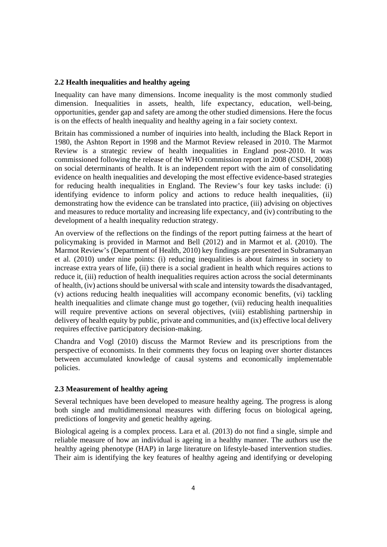#### **2.2 Health inequalities and healthy ageing**

Inequality can have many dimensions. Income inequality is the most commonly studied dimension. Inequalities in assets, health, life expectancy, education, well-being, opportunities, gender gap and safety are among the other studied dimensions. Here the focus is on the effects of health inequality and healthy ageing in a fair society context.

Britain has commissioned a number of inquiries into health, including the Black Report in 1980, the Ashton Report in 1998 and the Marmot Review released in 2010. The Marmot Review is a strategic review of health inequalities in England post-2010. It was commissioned following the release of the WHO commission report in 2008 (CSDH, 2008) on social determinants of health. It is an independent report with the aim of consolidating evidence on health inequalities and developing the most effective evidence-based strategies for reducing health inequalities in England. The Review's four key tasks include: (i) identifying evidence to inform policy and actions to reduce health inequalities, (ii) demonstrating how the evidence can be translated into practice, (iii) advising on objectives and measures to reduce mortality and increasing life expectancy, and (iv) contributing to the development of a health inequality reduction strategy.

An overview of the reflections on the findings of the report putting fairness at the heart of policymaking is provided in Marmot and Bell (2012) and in Marmot et al. (2010). The Marmot Review's (Department of Health, 2010) key findings are presented in Subramanyan et al. (2010) under nine points: (i) reducing inequalities is about fairness in society to increase extra years of life, (ii) there is a social gradient in health which requires actions to reduce it, (iii) reduction of health inequalities requires action across the social determinants of health, (iv) actions should be universal with scale and intensity towards the disadvantaged, (v) actions reducing health inequalities will accompany economic benefits, (vi) tackling health inequalities and climate change must go together, (vii) reducing health inequalities will require preventive actions on several objectives, (viii) establishing partnership in delivery of health equity by public, private and communities, and (ix) effective local delivery requires effective participatory decision-making.

Chandra and Vogl (2010) discuss the Marmot Review and its prescriptions from the perspective of economists. In their comments they focus on leaping over shorter distances between accumulated knowledge of causal systems and economically implementable policies.

## **2.3 Measurement of healthy ageing**

Several techniques have been developed to measure healthy ageing. The progress is along both single and multidimensional measures with differing focus on biological ageing, predictions of longevity and genetic healthy ageing.

Biological ageing is a complex process. Lara et al. (2013) do not find a single, simple and reliable measure of how an individual is ageing in a healthy manner. The authors use the healthy ageing phenotype (HAP) in large literature on lifestyle-based intervention studies. Their aim is identifying the key features of healthy ageing and identifying or developing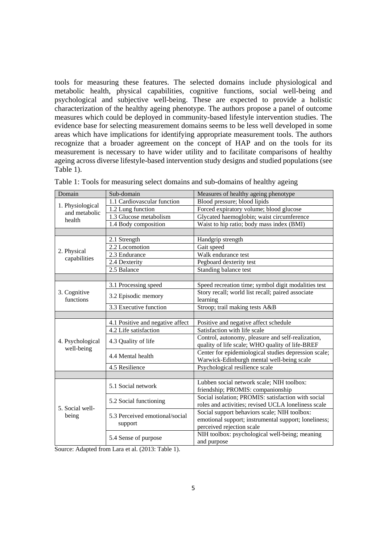tools for measuring these features. The selected domains include physiological and metabolic health, physical capabilities, cognitive functions, social well-being and psychological and subjective well-being. These are expected to provide a holistic characterization of the healthy ageing phenotype. The authors propose a panel of outcome measures which could be deployed in community-based lifestyle intervention studies. The evidence base for selecting measurement domains seems to be less well developed in some areas which have implications for identifying appropriate measurement tools. The authors recognize that a broader agreement on the concept of HAP and on the tools for its measurement is necessary to have wider utility and to facilitate comparisons of healthy ageing across diverse lifestyle-based intervention study designs and studied populations (see Table 1).

| Domain                            | Sub-domain                       | Measures of healthy ageing phenotype                 |  |  |  |  |  |  |
|-----------------------------------|----------------------------------|------------------------------------------------------|--|--|--|--|--|--|
|                                   | 1.1 Cardiovascular function      | Blood pressure; blood lipids                         |  |  |  |  |  |  |
| 1. Physiological<br>and metabolic | 1.2 Lung function                | Forced expiratory volume; blood glucose              |  |  |  |  |  |  |
| health                            | 1.3 Glucose metabolism           | Glycated haemoglobin; waist circumference            |  |  |  |  |  |  |
|                                   | 1.4 Body composition             | Waist to hip ratio; body mass index (BMI)            |  |  |  |  |  |  |
|                                   |                                  |                                                      |  |  |  |  |  |  |
|                                   | 2.1 Strength                     | Handgrip strength                                    |  |  |  |  |  |  |
| 2. Physical                       | 2.2 Locomotion                   | Gait speed                                           |  |  |  |  |  |  |
| capabilities                      | 2.3 Endurance                    | Walk endurance test                                  |  |  |  |  |  |  |
|                                   | 2.4 Dexterity                    | Pegboard dexterity test                              |  |  |  |  |  |  |
|                                   | 2.5 Balance                      | Standing balance test                                |  |  |  |  |  |  |
|                                   |                                  |                                                      |  |  |  |  |  |  |
|                                   | 3.1 Processing speed             | Speed recreation time; symbol digit modalities test  |  |  |  |  |  |  |
| 3. Cognitive<br>functions         | 3.2 Episodic memory              | Story recall; world list recall; paired associate    |  |  |  |  |  |  |
|                                   |                                  | learning                                             |  |  |  |  |  |  |
|                                   | 3.3 Executive function           | Stroop; trail making tests A&B                       |  |  |  |  |  |  |
|                                   |                                  |                                                      |  |  |  |  |  |  |
|                                   | 4.1 Positive and negative affect | Positive and negative affect schedule                |  |  |  |  |  |  |
|                                   | 4.2 Life satisfaction            | Satisfaction with life scale                         |  |  |  |  |  |  |
| 4. Psychological                  | 4.3 Quality of life              | Control, autonomy, pleasure and self-realization,    |  |  |  |  |  |  |
| well-being                        |                                  | quality of life scale; WHO quality of life-BREF      |  |  |  |  |  |  |
|                                   | 4.4 Mental health                | Center for epidemiological studies depression scale; |  |  |  |  |  |  |
|                                   |                                  | Warwick-Edinburgh mental well-being scale            |  |  |  |  |  |  |
|                                   | 4.5 Resilience                   | Psychological resilience scale                       |  |  |  |  |  |  |
|                                   |                                  |                                                      |  |  |  |  |  |  |
|                                   | 5.1 Social network               | Lubben social network scale; NIH toolbox:            |  |  |  |  |  |  |
|                                   |                                  | friendship; PROMIS: companionship                    |  |  |  |  |  |  |
|                                   | 5.2 Social functioning           | Social isolation; PROMIS: satisfaction with social   |  |  |  |  |  |  |
| 5. Social well-                   |                                  | roles and activities; revised UCLA loneliness scale  |  |  |  |  |  |  |
| being                             | 5.3 Perceived emotional/social   | Social support behaviors scale; NIH toolbox:         |  |  |  |  |  |  |
|                                   | support                          | emotional support; instrumental support; loneliness; |  |  |  |  |  |  |
|                                   |                                  | perceived rejection scale                            |  |  |  |  |  |  |
|                                   | 5.4 Sense of purpose             | NIH toolbox: psychological well-being; meaning       |  |  |  |  |  |  |
|                                   |                                  | and purpose                                          |  |  |  |  |  |  |

|  |  | Table 1: Tools for measuring select domains and sub-domains of healthy ageing |  |  |  |  |
|--|--|-------------------------------------------------------------------------------|--|--|--|--|

Source: Adapted from Lara et al. (2013: Table 1).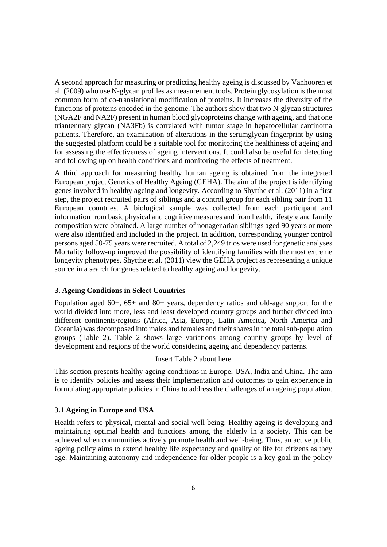A second approach for measuring or predicting healthy ageing is discussed by Vanhooren et al. (2009) who use N-glycan profiles as measurement tools. Protein glycosylation is the most common form of co-translational modification of proteins. It increases the diversity of the functions of proteins encoded in the genome. The authors show that two N-glycan structures (NGA2F and NA2F) present in human blood glycoproteins change with ageing, and that one triantennary glycan (NA3Fb) is correlated with tumor stage in hepatocellular carcinoma patients. Therefore, an examination of alterations in the serumglycan fingerprint by using the suggested platform could be a suitable tool for monitoring the healthiness of ageing and for assessing the effectiveness of ageing interventions. It could also be useful for detecting and following up on health conditions and monitoring the effects of treatment.

A third approach for measuring healthy human ageing is obtained from the integrated European project Genetics of Healthy Ageing (GEHA). The aim of the project is identifying genes involved in healthy ageing and longevity. According to Shytthe et al. (2011) in a first step, the project recruited pairs of siblings and a control group for each sibling pair from 11 European countries. A biological sample was collected from each participant and information from basic physical and cognitive measures and from health, lifestyle and family composition were obtained. A large number of nonagenarian siblings aged 90 years or more were also identified and included in the project. In addition, corresponding younger control persons aged 50-75 years were recruited. A total of 2,249 trios were used for genetic analyses. Mortality follow-up improved the possibility of identifying families with the most extreme longevity phenotypes. Shytthe et al. (2011) view the GEHA project as representing a unique source in a search for genes related to healthy ageing and longevity.

### **3. Ageing Conditions in Select Countries**

Population aged 60+, 65+ and 80+ years, dependency ratios and old-age support for the world divided into more, less and least developed country groups and further divided into different continents/regions (Africa, Asia, Europe, Latin America, North America and Oceania) was decomposed into males and females and their shares in the total sub-population groups (Table 2). Table 2 shows large variations among country groups by level of development and regions of the world considering ageing and dependency patterns.

## Insert Table 2 about here

This section presents healthy ageing conditions in Europe, USA, India and China. The aim is to identify policies and assess their implementation and outcomes to gain experience in formulating appropriate policies in China to address the challenges of an ageing population.

### **3.1 Ageing in Europe and USA**

Health refers to physical, mental and social well-being. Healthy ageing is developing and maintaining optimal health and functions among the elderly in a society. This can be achieved when communities actively promote health and well-being. Thus, an active public ageing policy aims to extend healthy life expectancy and quality of life for citizens as they age. Maintaining autonomy and independence for older people is a key goal in the policy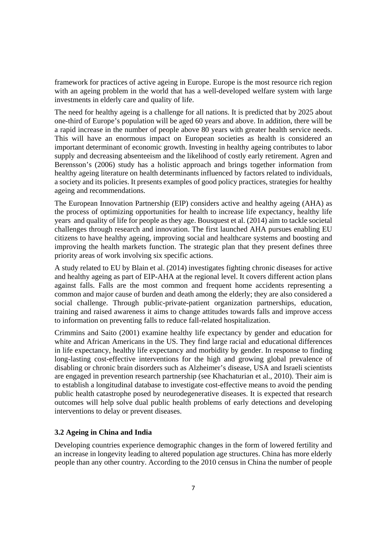framework for practices of active ageing in Europe. Europe is the most resource rich region with an ageing problem in the world that has a well-developed welfare system with large investments in elderly care and quality of life.

The need for healthy ageing is a challenge for all nations. It is predicted that by 2025 about one-third of Europe's population will be aged 60 years and above. In addition, there will be a rapid increase in the number of people above 80 years with greater health service needs. This will have an enormous impact on European societies as health is considered an important determinant of economic growth. Investing in healthy ageing contributes to labor supply and decreasing absenteeism and the likelihood of costly early retirement. Agren and Berensson's (2006) study has a holistic approach and brings together information from healthy ageing literature on health determinants influenced by factors related to individuals, a society and its policies. It presents examples of good policy practices, strategies for healthy ageing and recommendations.

The European Innovation Partnership (EIP) considers active and healthy ageing (AHA) as the process of optimizing opportunities for health to increase life expectancy, healthy life years and quality of life for people as they age. Bousquest et al. (2014) aim to tackle societal challenges through research and innovation. The first launched AHA pursues enabling EU citizens to have healthy ageing, improving social and healthcare systems and boosting and improving the health markets function. The strategic plan that they present defines three priority areas of work involving six specific actions.

A study related to EU by Blain et al. (2014) investigates fighting chronic diseases for active and healthy ageing as part of EIP-AHA at the regional level. It covers different action plans against falls. Falls are the most common and frequent home accidents representing a common and major cause of burden and death among the elderly; they are also considered a social challenge. Through public-private-patient organization partnerships, education, training and raised awareness it aims to change attitudes towards falls and improve access to information on preventing falls to reduce fall-related hospitalization.

Crimmins and Saito (2001) examine healthy life expectancy by gender and education for white and African Americans in the US. They find large racial and educational differences in life expectancy, healthy life expectancy and morbidity by gender. In response to finding long-lasting cost-effective interventions for the high and growing global prevalence of disabling or chronic brain disorders such as Alzheimer's disease, USA and Israeli scientists are engaged in prevention research partnership (see Khachaturian et al., 2010). Their aim is to establish a longitudinal database to investigate cost-effective means to avoid the pending public health catastrophe posed by neurodegenerative diseases. It is expected that research outcomes will help solve dual public health problems of early detections and developing interventions to delay or prevent diseases.

# **3.2 Ageing in China and India**

Developing countries experience demographic changes in the form of lowered fertility and an increase in longevity leading to altered population age structures. China has more elderly people than any other country. According to the 2010 census in China the number of people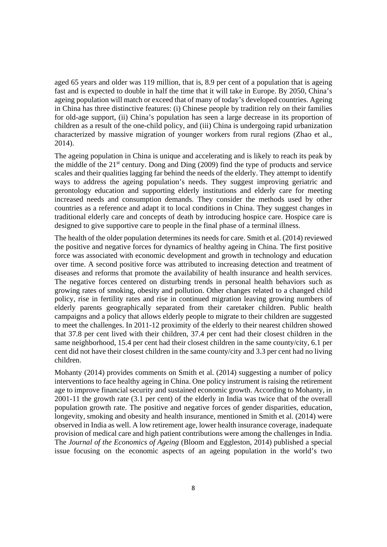aged 65 years and older was 119 million, that is, 8.9 per cent of a population that is ageing fast and is expected to double in half the time that it will take in Europe. By 2050, China's ageing population will match or exceed that of many of today's developed countries. Ageing in China has three distinctive features: (i) Chinese people by tradition rely on their families for old-age support, (ii) China's population has seen a large decrease in its proportion of children as a result of the one-child policy, and (iii) China is undergoing rapid urbanization characterized by massive migration of younger workers from rural regions (Zhao et al., 2014).

The ageing population in China is unique and accelerating and is likely to reach its peak by the middle of the  $21<sup>st</sup>$  century. Dong and Ding (2009) find the type of products and service scales and their qualities lagging far behind the needs of the elderly. They attempt to identify ways to address the ageing population's needs. They suggest improving geriatric and gerontology education and supporting elderly institutions and elderly care for meeting increased needs and consumption demands. They consider the methods used by other countries as a reference and adapt it to local conditions in China. They suggest changes in traditional elderly care and concepts of death by introducing hospice care. Hospice care is designed to give supportive care to people in the final phase of a terminal illness.

The health of the older population determines its needs for care. Smith et al. (2014) reviewed the positive and negative forces for dynamics of healthy ageing in China. The first positive force was associated with economic development and growth in technology and education over time. A second positive force was attributed to increasing detection and treatment of diseases and reforms that promote the availability of health insurance and health services. The negative forces centered on disturbing trends in personal health behaviors such as growing rates of smoking, obesity and pollution. Other changes related to a changed child policy, rise in fertility rates and rise in continued migration leaving growing numbers of elderly parents geographically separated from their caretaker children. Public health campaigns and a policy that allows elderly people to migrate to their children are suggested to meet the challenges. In 2011-12 proximity of the elderly to their nearest children showed that 37.8 per cent lived with their children, 37.4 per cent had their closest children in the same neighborhood, 15.4 per cent had their closest children in the same county/city, 6.1 per cent did not have their closest children in the same county/city and 3.3 per cent had no living children.

Mohanty (2014) provides comments on Smith et al. (2014) suggesting a number of policy interventions to face healthy ageing in China. One policy instrument is raising the retirement age to improve financial security and sustained economic growth. According to Mohanty, in 2001-11 the growth rate (3.1 per cent) of the elderly in India was twice that of the overall population growth rate. The positive and negative forces of gender disparities, education, longevity, smoking and obesity and health insurance, mentioned in Smith et al. (2014) were observed in India as well. A low retirement age, lower health insurance coverage, inadequate provision of medical care and high patient contributions were among the challenges in India. The *Journal of the Economics of Ageing* (Bloom and Eggleston, 2014) published a special issue focusing on the economic aspects of an ageing population in the world's two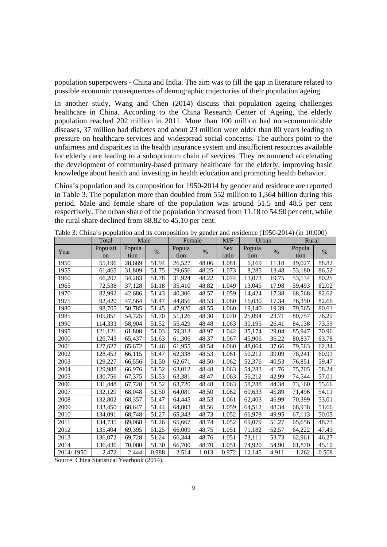population superpowers - China and India. The aim was to fill the gap in literature related to possible economic consequences of demographic trajectories of their population ageing.

In another study, Wang and Chen (2014) discuss that population ageing challenges healthcare in China. According to the China Research Center of Ageing, the elderly population reached 202 million in 2011. More than 100 million had non-communicable diseases, 37 million had diabetes and about 23 million were older than 80 years leading to pressure on healthcare services and widespread social concerns. The authors point to the unfairness and disparities in the health insurance system and insufficient resources available for elderly care leading to a suboptimum chain of services. They recommend accelerating the development of community-based primary healthcare for the elderly, improving basic knowledge about health and investing in health education and promoting health behavior.

China's population and its composition for 1950-2014 by gender and residence are reported in Table 3. The population more than doubled from 552 million to 1,364 billion during this period. Male and female share of the population was around 51.5 and 48.5 per cent respectively. The urban share of the population increased from 11.18 to 54.90 per cent, while the rural share declined from 88.82 to 45.10 per cent.

|           | Total         | Male   |       | Female |       | M/F   | Urban  |       | Rural  |       |  |
|-----------|---------------|--------|-------|--------|-------|-------|--------|-------|--------|-------|--|
| Year      | Populati      | Popula | $\%$  | Popula | $\%$  | Sex   | Popula | $\%$  | Popula | $\%$  |  |
|           | <sub>on</sub> | tion   |       | tion   |       | ratio | tion   |       | tion   |       |  |
| 1950      | 55,196        | 28,669 | 51.94 | 26,527 | 48.06 | 1.081 | 6,169  | 11.18 | 49,027 | 88.82 |  |
| 1955      | 61,465        | 31,809 | 51.75 | 29,656 | 48.25 | 1.073 | 8,285  | 13.48 | 53,180 | 86.52 |  |
| 1960      | 66,207        | 34,283 | 51.78 | 31,924 | 48.22 | 1.074 | 13,073 | 19.75 | 53,134 | 80.25 |  |
| 1965      | 72,538        | 37,128 | 51.18 | 35,410 | 48.82 | 1.049 | 13,045 | 17.98 | 59,493 | 82.02 |  |
| 1970      | 82,992        | 42,686 | 51.43 | 40,306 | 48.57 | 1.059 | 14,424 | 17.38 | 68,568 | 82.62 |  |
| 1975      | 92,420        | 47,564 | 51.47 | 44,856 | 48.53 | 1.060 | 16,030 | 17.34 | 76,390 | 82.66 |  |
| 1980      | 98,705        | 50,785 | 51.45 | 47,920 | 48.55 | 1.060 | 19,140 | 19.39 | 79,565 | 80.61 |  |
| 1985      | 105,851       | 54,725 | 51.70 | 51,126 | 48.30 | 1.070 | 25,094 | 23.71 | 80,757 | 76.29 |  |
| 1990      | 114,333       | 58,904 | 51.52 | 55,429 | 48.48 | 1.063 | 30,195 | 26.41 | 84,138 | 73.59 |  |
| 1995      | 121,121       | 61,808 | 51.03 | 59,313 | 48.97 | 1.042 | 35,174 | 29.04 | 85,947 | 70.96 |  |
| 2000      | 126,743       | 65,437 | 51.63 | 61,306 | 48.37 | 1.067 | 45,906 | 36.22 | 80,837 | 63.78 |  |
| 2001      | 127,627       | 65,672 | 51.46 | 61,955 | 48.54 | 1.060 | 48,064 | 37.66 | 79,563 | 62.34 |  |
| 2002      | 128,453       | 66,115 | 51.47 | 62,338 | 48.53 | 1.061 | 50,212 | 39.09 | 78,241 | 60.91 |  |
| 2003      | 129,227       | 66,556 | 51.50 | 62,671 | 48.50 | 1.062 | 52,376 | 40.53 | 76,851 | 59.47 |  |
| 2004      | 129,988       | 66,976 | 51.52 | 63,012 | 48.48 | 1.063 | 54,283 | 41.76 | 75,705 | 58.24 |  |
| 2005      | 130,756       | 67,375 | 51.53 | 63,381 | 48.47 | 1.063 | 56,212 | 42.99 | 74,544 | 57.01 |  |
| 2006      | 131,448       | 67,728 | 51.52 | 63,720 | 48.48 | 1.063 | 58,288 | 44.34 | 73,160 | 55.66 |  |
| 2007      | 132,129       | 68,048 | 51.50 | 64,081 | 48.50 | 1.062 | 60,633 | 45.89 | 71,496 | 54.11 |  |
| 2008      | 132,802       | 68,357 | 51.47 | 64,445 | 48.53 | 1.061 | 62,403 | 46.99 | 70,399 | 53.01 |  |
| 2009      | 133,450       | 68,647 | 51.44 | 64,803 | 48.56 | 1.059 | 64,512 | 48.34 | 68,938 | 51.66 |  |
| 2010      | 134,091       | 68,748 | 51.27 | 65,343 | 48.73 | 1.052 | 66,978 | 49.95 | 67,113 | 50.05 |  |
| 2011      | 134,735       | 69,068 | 51.26 | 65,667 | 48.74 | 1.052 | 69,079 | 51.27 | 65,656 | 48.73 |  |
| 2012      | 135,404       | 69,395 | 51.25 | 66,009 | 48.75 | 1.051 | 71,182 | 52.57 | 64,222 | 47.43 |  |
| 2013      | 136,072       | 69,728 | 51.24 | 66,344 | 48.76 | 1.051 | 73,111 | 53.73 | 62,961 | 46.27 |  |
| 2014      | 136,430       | 70,080 | 51.30 | 66,700 | 48.70 | 1.051 | 74,920 | 54.90 | 61,870 | 45.10 |  |
| 2014/1950 | 2.472         | 2.444  | 0.988 | 2.514  | 1.013 | 0.972 | 12.145 | 4.911 | 1.262  | 0.508 |  |

Table 3: China's population and its composition by gender and residence (1950-2014) (in 10,000)

Source: China Statistical Yearbook (2014).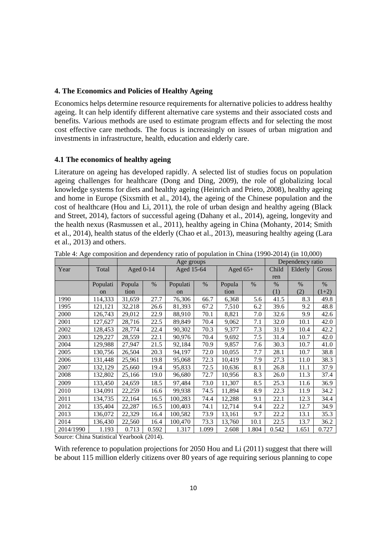#### **4. The Economics and Policies of Healthy Ageing**

Economics helps determine resource requirements for alternative policies to address healthy ageing. It can help identify different alternative care systems and their associated costs and benefits. Various methods are used to estimate program effects and for selecting the most cost effective care methods. The focus is increasingly on issues of urban migration and investments in infrastructure, health, education and elderly care.

#### **4.1 The economics of healthy ageing**

Literature on ageing has developed rapidly. A selected list of studies focus on population ageing challenges for healthcare (Dong and Ding, 2009), the role of globalizing local knowledge systems for diets and healthy ageing (Heinrich and Prieto, 2008), healthy ageing and home in Europe (Sixsmith et al., 2014), the ageing of the Chinese population and the cost of healthcare (Hou and Li, 2011), the role of urban design and healthy ageing (Black and Street, 2014), factors of successful ageing (Dahany et al., 2014), ageing, longevity and the health nexus (Rasmussen et al., 2011), healthy ageing in China (Mohanty, 2014; Smith et al., 2014), health status of the elderly (Chao et al., 2013), measuring healthy ageing (Lara et al., 2013) and others.

|           |          |             |               | Age groups    |       | Dependency ratio |               |       |         |               |
|-----------|----------|-------------|---------------|---------------|-------|------------------|---------------|-------|---------|---------------|
| Year      | Total    | Aged $0-14$ |               | Aged 15-64    |       | Aged $65+$       |               | Child | Elderly | Gross         |
|           |          |             |               |               |       |                  |               | ren   |         |               |
|           | Populati | Popula      | $\frac{0}{0}$ | Populati      | $\%$  | Popula           | $\frac{0}{0}$ | $\%$  | $\%$    | $\frac{0}{0}$ |
|           | on       | tion        |               | <sub>on</sub> |       | tion             |               | (1)   | (2)     | $(1+2)$       |
| 1990      | 114,333  | 31,659      | 27.7          | 76,306        | 66.7  | 6,368            | 5.6           | 41.5  | 8.3     | 49.8          |
| 1995      | 121,121  | 32,218      | 26.6          | 81,393        | 67.2  | 7,510            | 6.2           | 39.6  | 9.2     | 48.8          |
| 2000      | 126,743  | 29,012      | 22.9          | 88,910        | 70.1  | 8,821            | 7.0           | 32.6  | 9.9     | 42.6          |
| 2001      | 127,627  | 28,716      | 22.5          | 89,849        | 70.4  | 9,062            | 7.1           | 32.0  | 10.1    | 42.0          |
| 2002      | 128,453  | 28,774      | 22.4          | 90,302        | 70.3  | 9,377            | 7.3           | 31.9  | 10.4    | 42.2          |
| 2003      | 129,227  | 28,559      | 22.1          | 90,976        | 70.4  | 9,692            | 7.5           | 31.4  | 10.7    | 42.0          |
| 2004      | 129,988  | 27,947      | 21.5          | 92,184        | 70.9  | 9,857            | 7.6           | 30.3  | 10.7    | 41.0          |
| 2005      | 130,756  | 26,504      | 20.3          | 94,197        | 72.0  | 10,055           | 7.7           | 28.1  | 10.7    | 38.8          |
| 2006      | 131,448  | 25,961      | 19.8          | 95,068        | 72.3  | 10,419           | 7.9           | 27.3  | 11.0    | 38.3          |
| 2007      | 132,129  | 25,660      | 19.4          | 95,833        | 72.5  | 10,636           | 8.1           | 26.8  | 11.1    | 37.9          |
| 2008      | 132,802  | 25,166      | 19.0          | 96,680        | 72.7  | 10,956           | 8.3           | 26.0  | 11.3    | 37.4          |
| 2009      | 133,450  | 24,659      | 18.5          | 97,484        | 73.0  | 11,307           | 8.5           | 25.3  | 11.6    | 36.9          |
| 2010      | 134,091  | 22,259      | 16.6          | 99,938        | 74.5  | 11,894           | 8.9           | 22.3  | 11.9    | 34.2          |
| 2011      | 134,735  | 22,164      | 16.5          | 100,283       | 74.4  | 12,288           | 9.1           | 22.1  | 12.3    | 34.4          |
| 2012      | 135,404  | 22,287      | 16.5          | 100,403       | 74.1  | 12,714           | 9.4           | 22.2  | 12.7    | 34.9          |
| 2013      | 136,072  | 22,329      | 16.4          | 100,582       | 73.9  | 13,161           | 9.7           | 22.2  | 13.1    | 35.3          |
| 2014      | 136,430  | 22,560      | 16.4          | 100,470       | 73.3  | 13,760           | 10.1          | 22.5  | 13.7    | 36.2          |
| 2014/1990 | 1.193    | 0.713       | 0.592         | 1.317         | 1.099 | 2.608            | 1.804         | 0.542 | 1.651   | 0.727         |

Table 4: Age composition and dependency ratio of population in China (1990-2014) (in 10,000)

Source: China Statistical Yearbook (2014).

With reference to population projections for 2050 Hou and Li (2011) suggest that there will be about 115 million elderly citizens over 80 years of age requiring serious planning to cope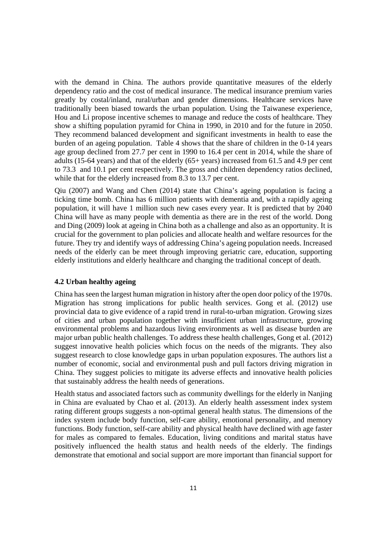with the demand in China. The authors provide quantitative measures of the elderly dependency ratio and the cost of medical insurance. The medical insurance premium varies greatly by costal/inland, rural/urban and gender dimensions. Healthcare services have traditionally been biased towards the urban population. Using the Taiwanese experience, Hou and Li propose incentive schemes to manage and reduce the costs of healthcare. They show a shifting population pyramid for China in 1990, in 2010 and for the future in 2050. They recommend balanced development and significant investments in health to ease the burden of an ageing population. Table 4 shows that the share of children in the 0-14 years age group declined from 27.7 per cent in 1990 to 16.4 per cent in 2014, while the share of adults (15-64 years) and that of the elderly (65+ years) increased from 61.5 and 4.9 per cent to 73.3 and 10.1 per cent respectively. The gross and children dependency ratios declined, while that for the elderly increased from 8.3 to 13.7 per cent.

Qiu (2007) and Wang and Chen (2014) state that China's ageing population is facing a ticking time bomb. China has 6 million patients with dementia and, with a rapidly ageing population, it will have 1 million such new cases every year. It is predicted that by 2040 China will have as many people with dementia as there are in the rest of the world. Dong and Ding (2009) look at ageing in China both as a challenge and also as an opportunity. It is crucial for the government to plan policies and allocate health and welfare resources for the future. They try and identify ways of addressing China's ageing population needs. Increased needs of the elderly can be meet through improving geriatric care, education, supporting elderly institutions and elderly healthcare and changing the traditional concept of death.

#### **4.2 Urban healthy ageing**

China has seen the largest human migration in history after the open door policy of the 1970s. Migration has strong implications for public health services. Gong et al. (2012) use provincial data to give evidence of a rapid trend in rural-to-urban migration. Growing sizes of cities and urban population together with insufficient urban infrastructure, growing environmental problems and hazardous living environments as well as disease burden are major urban public health challenges. To address these health challenges, Gong et al. (2012) suggest innovative health policies which focus on the needs of the migrants. They also suggest research to close knowledge gaps in urban population exposures. The authors list a number of economic, social and environmental push and pull factors driving migration in China. They suggest policies to mitigate its adverse effects and innovative health policies that sustainably address the health needs of generations.

Health status and associated factors such as community dwellings for the elderly in Nanjing in China are evaluated by Chao et al. (2013). An elderly health assessment index system rating different groups suggests a non-optimal general health status. The dimensions of the index system include body function, self-care ability, emotional personality, and memory functions. Body function, self-care ability and physical health have declined with age faster for males as compared to females. Education, living conditions and marital status have positively influenced the health status and health needs of the elderly. The findings demonstrate that emotional and social support are more important than financial support for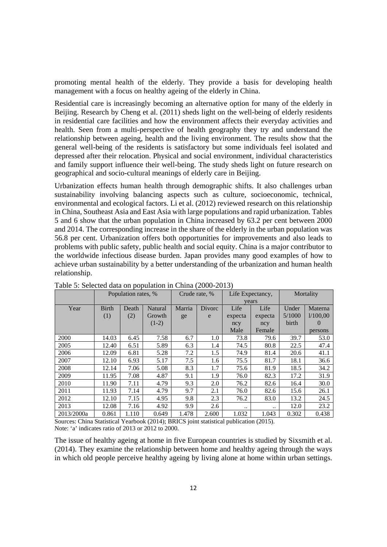promoting mental health of the elderly. They provide a basis for developing health management with a focus on healthy ageing of the elderly in China.

Residential care is increasingly becoming an alternative option for many of the elderly in Beijing. Research by Cheng et al. (2011) sheds light on the well-being of elderly residents in residential care facilities and how the environment affects their everyday activities and health. Seen from a multi-perspective of health geography they try and understand the relationship between ageing, health and the living environment. The results show that the general well-being of the residents is satisfactory but some individuals feel isolated and depressed after their relocation. Physical and social environment, individual characteristics and family support influence their well-being. The study sheds light on future research on geographical and socio-cultural meanings of elderly care in Beijing.

Urbanization effects human health through demographic shifts. It also challenges urban sustainability involving balancing aspects such as culture, socioeconomic, technical, environmental and ecological factors. Li et al. (2012) reviewed research on this relationship in China, Southeast Asia and East Asia with large populations and rapid urbanization. Tables 5 and 6 show that the urban population in China increased by 63.2 per cent between 2000 and 2014. The corresponding increase in the share of the elderly in the urban population was 56.8 per cent. Urbanization offers both opportunities for improvements and also leads to problems with public safety, public health and social equity. China is a major contributor to the worldwide infectious disease burden. Japan provides many good examples of how to achieve urban sustainability by a better understanding of the urbanization and human health relationship.

|            |                                  | Population rates, % |         | Crude rate, % |       |         | Life Expectancy, | Mortality |          |  |
|------------|----------------------------------|---------------------|---------|---------------|-------|---------|------------------|-----------|----------|--|
|            |                                  |                     |         |               |       |         | years            |           |          |  |
| Year       | <b>Birth</b><br>Natural<br>Death |                     | Marria  | <b>Divorc</b> | Life  | Life    | Under            | Materna   |          |  |
|            | (1)                              | (2)                 | Growth  | ge            | e     | expecta | expecta          | 5/1000    | 1/100,00 |  |
|            |                                  |                     | $(1-2)$ |               |       | ncy     | ncy              | birth     | $\theta$ |  |
|            |                                  |                     |         |               |       | Male    | Female           |           | persons  |  |
| 2000       | 14.03                            | 6.45                | 7.58    | 6.7           | 1.0   | 73.8    | 79.6             | 39.7      | 53.0     |  |
| 2005       | 12.40                            | 6.51                | 5.89    | 6.3           | 1.4   | 74.5    | 80.8             | 22.5      | 47.4     |  |
| 2006       | 12.09                            | 6.81                | 5.28    | 7.2           | 1.5   | 74.9    | 81.4             | 20.6      | 41.1     |  |
| 2007       | 12.10                            | 6.93                | 5.17    | 7.5           | 1.6   | 75.5    | 81.7             | 18.1      | 36.6     |  |
| 2008       | 12.14                            | 7.06                | 5.08    | 8.3           | 1.7   | 75.6    | 81.9             | 18.5      | 34.2     |  |
| 2009       | 11.95                            | 7.08                | 4.87    | 9.1           | 1.9   | 76.0    | 82.3             | 17.2      | 31.9     |  |
| 2010       | 11.90                            | 7.11                | 4.79    | 9.3           | 2.0   | 76.2    | 82.6             | 16.4      | 30.0     |  |
| 2011       | 11.93                            | 7.14                | 4.79    | 9.7           | 2.1   | 76.0    | 82.6             | 15.6      | 26.1     |  |
| 2012       | 12.10                            | 7.15                | 4.95    | 9.8           | 2.3   | 76.2    | 83.0             | 13.2      | 24.5     |  |
| 2013       | 12.08                            | 7.16                | 4.92    | 9.9           | 2.6   |         |                  | 12.0      | 23.2     |  |
| 2013/2000a | 0.861                            | 1.110               | 0.649   | 1.478         | 2.600 | 1.032   | 1.043            | 0.302     | 0.438    |  |

Table 5: Selected data on population in China (2000-2013)

Sources: China Statistical Yearbook (2014); BRICS joint statistical publication (2015). Note: 'a' indicates ratio of 2013 or 2012 to 2000.

The issue of healthy ageing at home in five European countries is studied by Sixsmith et al. (2014). They examine the relationship between home and healthy ageing through the ways in which old people perceive healthy ageing by living alone at home within urban settings.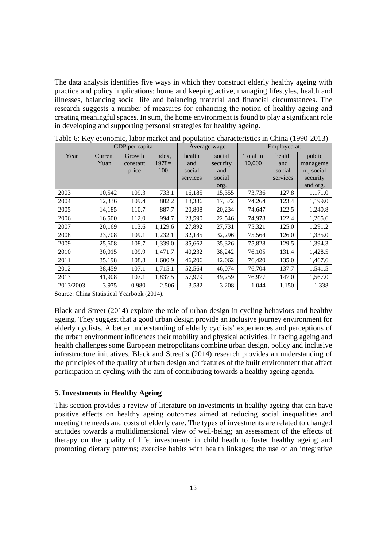The data analysis identifies five ways in which they construct elderly healthy ageing with practice and policy implications: home and keeping active, managing lifestyles, health and illnesses, balancing social life and balancing material and financial circumstances. The research suggests a number of measures for enhancing the notion of healthy ageing and creating meaningful spaces. In sum, the home environment is found to play a significant role in developing and supporting personal strategies for healthy ageing.

|           |                 | GDP per capita              |                          |                                     | Average wage                                | Employed at:       |                                     |                                                          |  |  |
|-----------|-----------------|-----------------------------|--------------------------|-------------------------------------|---------------------------------------------|--------------------|-------------------------------------|----------------------------------------------------------|--|--|
| Year      | Current<br>Yuan | Growth<br>constant<br>price | Index,<br>$1978=$<br>100 | health<br>and<br>social<br>services | social<br>security<br>and<br>social<br>org. | Total in<br>10,000 | health<br>and<br>social<br>services | public<br>manageme<br>nt, social<br>security<br>and org. |  |  |
| 2003      | 10,542          | 109.3                       | 733.1                    | 16,185                              | 15,355                                      | 73,736             | 127.8                               | 1,171.0                                                  |  |  |
| 2004      | 12,336          | 109.4                       | 802.2                    | 18,386                              | 17,372                                      | 74,264             | 123.4                               | 1,199.0                                                  |  |  |
| 2005      | 14,185          | 110.7                       | 887.7                    | 20,808                              | 20,234                                      | 74,647             | 122.5                               | 1,240.8                                                  |  |  |
| 2006      | 16,500          | 112.0                       | 994.7                    | 23,590                              | 22,546                                      | 74,978             | 122.4                               | 1,265.6                                                  |  |  |
| 2007      | 20,169          | 113.6                       | 1,129.6                  | 27,892                              | 27,731                                      | 75,321             | 125.0                               | 1,291.2                                                  |  |  |
| 2008      | 23,708          | 109.1                       | 1,232.1                  | 32,185                              | 32,296                                      | 75,564             | 126.0                               | 1,335.0                                                  |  |  |
| 2009      | 25,608          | 108.7                       | 1,339.0                  | 35,662                              | 35,326                                      | 75,828             | 129.5                               | 1,394.3                                                  |  |  |
| 2010      | 30,015          | 109.9                       | 1,471.7                  | 40,232                              | 38,242                                      | 76,105             | 131.4                               | 1,428.5                                                  |  |  |
| 2011      | 35,198          | 108.8                       | 1,600.9                  | 46,206                              | 42,062                                      | 76,420             | 135.0                               | 1,467.6                                                  |  |  |
| 2012      | 38,459          | 107.1                       | 1,715.1                  | 52,564                              | 46,074                                      | 76,704             | 137.7                               | 1,541.5                                                  |  |  |
| 2013      | 41,908          | 107.1                       | 1,837.5                  | 57,979                              | 49,259                                      | 76,977             | 147.0                               | 1,567.0                                                  |  |  |
| 2013/2003 | 3.975           | 0.980                       | 2.506                    | 3.582                               | 3.208                                       | 1.044              | 1.150                               | 1.338                                                    |  |  |

Table 6: Key economic, labor market and population characteristics in China (1990-2013)

Source: China Statistical Yearbook (2014).

Black and Street (2014) explore the role of urban design in cycling behaviors and healthy ageing. They suggest that a good urban design provide an inclusive journey environment for elderly cyclists. A better understanding of elderly cyclists' experiences and perceptions of the urban environment influences their mobility and physical activities. In facing ageing and health challenges some European metropolitans combine urban design, policy and inclusive infrastructure initiatives. Black and Street's (2014) research provides an understanding of the principles of the quality of urban design and features of the built environment that affect participation in cycling with the aim of contributing towards a healthy ageing agenda.

#### **5. Investments in Healthy Ageing**

This section provides a review of literature on investments in healthy ageing that can have positive effects on healthy ageing outcomes aimed at reducing social inequalities and meeting the needs and costs of elderly care. The types of investments are related to changed attitudes towards a multidimensional view of well-being; an assessment of the effects of therapy on the quality of life; investments in child heath to foster healthy ageing and promoting dietary patterns; exercise habits with health linkages; the use of an integrative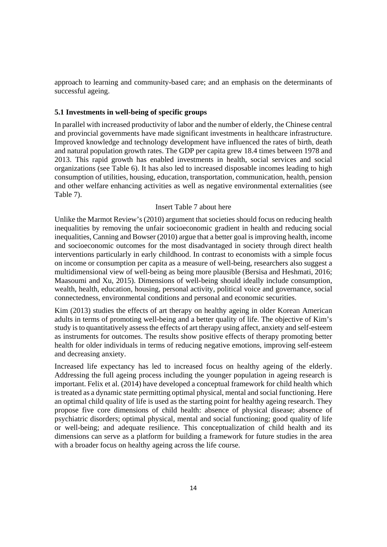approach to learning and community-based care; and an emphasis on the determinants of successful ageing.

#### **5.1 Investments in well-being of specific groups**

In parallel with increased productivity of labor and the number of elderly, the Chinese central and provincial governments have made significant investments in healthcare infrastructure. Improved knowledge and technology development have influenced the rates of birth, death and natural population growth rates. The GDP per capita grew 18.4 times between 1978 and 2013. This rapid growth has enabled investments in health, social services and social organizations (see Table 6). It has also led to increased disposable incomes leading to high consumption of utilities, housing, education, transportation, communication, health, pension and other welfare enhancing activities as well as negative environmental externalities (see Table 7).

#### Insert Table 7 about here

Unlike the Marmot Review's (2010) argument that societies should focus on reducing health inequalities by removing the unfair socioeconomic gradient in health and reducing social inequalities, Canning and Bowser (2010) argue that a better goal is improving health, income and socioeconomic outcomes for the most disadvantaged in society through direct health interventions particularly in early childhood. In contrast to economists with a simple focus on income or consumption per capita as a measure of well-being, researchers also suggest a multidimensional view of well-being as being more plausible (Bersisa and Heshmati, 2016; Maasoumi and Xu, 2015). Dimensions of well-being should ideally include consumption, wealth, health, education, housing, personal activity, political voice and governance, social connectedness, environmental conditions and personal and economic securities.

Kim (2013) studies the effects of art therapy on healthy ageing in older Korean American adults in terms of promoting well-being and a better quality of life. The objective of Kim's study is to quantitatively assess the effects of art therapy using affect, anxiety and self-esteem as instruments for outcomes. The results show positive effects of therapy promoting better health for older individuals in terms of reducing negative emotions, improving self-esteem and decreasing anxiety.

Increased life expectancy has led to increased focus on healthy ageing of the elderly. Addressing the full ageing process including the younger population in ageing research is important. Felix et al. (2014) have developed a conceptual framework for child health which is treated as a dynamic state permitting optimal physical, mental and social functioning. Here an optimal child quality of life is used as the starting point for healthy ageing research. They propose five core dimensions of child health: absence of physical disease; absence of psychiatric disorders; optimal physical, mental and social functioning; good quality of life or well-being; and adequate resilience. This conceptualization of child health and its dimensions can serve as a platform for building a framework for future studies in the area with a broader focus on healthy ageing across the life course.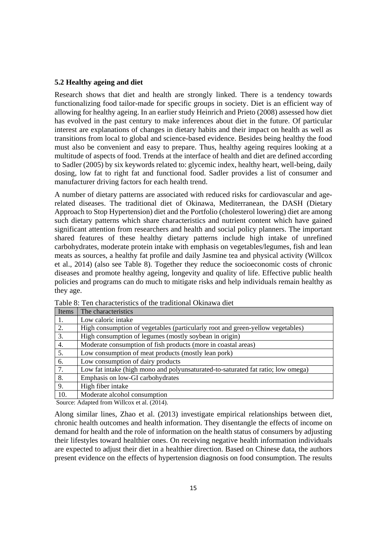#### **5.2 Healthy ageing and diet**

Research shows that diet and health are strongly linked. There is a tendency towards functionalizing food tailor-made for specific groups in society. Diet is an efficient way of allowing for healthy ageing. In an earlier study Heinrich and Prieto (2008) assessed how diet has evolved in the past century to make inferences about diet in the future. Of particular interest are explanations of changes in dietary habits and their impact on health as well as transitions from local to global and science-based evidence. Besides being healthy the food must also be convenient and easy to prepare. Thus, healthy ageing requires looking at a multitude of aspects of food. Trends at the interface of health and diet are defined according to Sadler (2005) by six keywords related to: glycemic index, healthy heart, well-being, daily dosing, low fat to right fat and functional food. Sadler provides a list of consumer and manufacturer driving factors for each health trend.

A number of dietary patterns are associated with reduced risks for cardiovascular and agerelated diseases. The traditional diet of Okinawa, Mediterranean, the DASH (Dietary Approach to Stop Hypertension) diet and the Portfolio (cholesterol lowering) diet are among such dietary patterns which share characteristics and nutrient content which have gained significant attention from researchers and health and social policy planners. The important shared features of these healthy dietary patterns include high intake of unrefined carbohydrates, moderate protein intake with emphasis on vegetables/legumes, fish and lean meats as sources, a healthy fat profile and daily Jasmine tea and physical activity (Willcox et al., 2014) (also see Table 8). Together they reduce the socioeconomic costs of chronic diseases and promote healthy ageing, longevity and quality of life. Effective public health policies and programs can do much to mitigate risks and help individuals remain healthy as they age.

| Items            | The characteristics                                                              |
|------------------|----------------------------------------------------------------------------------|
| 1.               | Low caloric intake                                                               |
| 2.               | High consumption of vegetables (particularly root and green-yellow vegetables)   |
| 3.               | High consumption of legumes (mostly soybean in origin)                           |
| 4.               | Moderate consumption of fish products (more in coastal areas)                    |
| $\overline{5}$ . | Low consumption of meat products (mostly lean pork)                              |
| 6.               | Low consumption of dairy products                                                |
| 7.               | Low fat intake (high mono and polyunsaturated-to-saturated fat ratio; low omega) |
| 8.               | Emphasis on low-GI carbohydrates                                                 |
| 9.               | High fiber intake                                                                |
| 10.              | Moderate alcohol consumption                                                     |

Table 8: Ten characteristics of the traditional Okinawa diet

Source: Adapted from Willcox et al. (2014).

Along similar lines, Zhao et al. (2013) investigate empirical relationships between diet, chronic health outcomes and health information. They disentangle the effects of income on demand for health and the role of information on the health status of consumers by adjusting their lifestyles toward healthier ones. On receiving negative health information individuals are expected to adjust their diet in a healthier direction. Based on Chinese data, the authors present evidence on the effects of hypertension diagnosis on food consumption. The results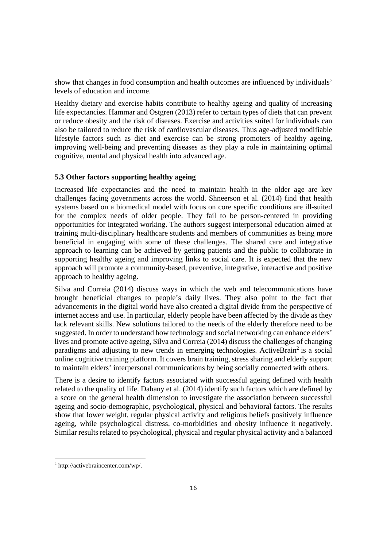show that changes in food consumption and health outcomes are influenced by individuals' levels of education and income.

Healthy dietary and exercise habits contribute to healthy ageing and quality of increasing life expectancies. Hammar and Ostgren (2013) refer to certain types of diets that can prevent or reduce obesity and the risk of diseases. Exercise and activities suited for individuals can also be tailored to reduce the risk of cardiovascular diseases. Thus age-adjusted modifiable lifestyle factors such as diet and exercise can be strong promoters of healthy ageing, improving well-being and preventing diseases as they play a role in maintaining optimal cognitive, mental and physical health into advanced age.

## **5.3 Other factors supporting healthy ageing**

Increased life expectancies and the need to maintain health in the older age are key challenges facing governments across the world. Shneerson et al. (2014) find that health systems based on a biomedical model with focus on core specific conditions are ill-suited for the complex needs of older people. They fail to be person-centered in providing opportunities for integrated working. The authors suggest interpersonal education aimed at training multi-disciplinary healthcare students and members of communities as being more beneficial in engaging with some of these challenges. The shared care and integrative approach to learning can be achieved by getting patients and the public to collaborate in supporting healthy ageing and improving links to social care. It is expected that the new approach will promote a community-based, preventive, integrative, interactive and positive approach to healthy ageing.

Silva and Correia (2014) discuss ways in which the web and telecommunications have brought beneficial changes to people's daily lives. They also point to the fact that advancements in the digital world have also created a digital divide from the perspective of internet access and use. In particular, elderly people have been affected by the divide as they lack relevant skills. New solutions tailored to the needs of the elderly therefore need to be suggested. In order to understand how technology and social networking can enhance elders' lives and promote active ageing, Silva and Correia (2014) discuss the challenges of changing paradigms and adjusting to new trends in emerging technologies. ActiveBrain<sup>2</sup> is a social online cognitive training platform. It covers brain training, stress sharing and elderly support to maintain elders' interpersonal communications by being socially connected with others.

There is a desire to identify factors associated with successful ageing defined with health related to the quality of life. Dahany et al. (2014) identify such factors which are defined by a score on the general health dimension to investigate the association between successful ageing and socio-demographic, psychological, physical and behavioral factors. The results show that lower weight, regular physical activity and religious beliefs positively influence ageing, while psychological distress, co-morbidities and obesity influence it negatively. Similar results related to psychological, physical and regular physical activity and a balanced

 2 http://activebraincenter.com/wp/.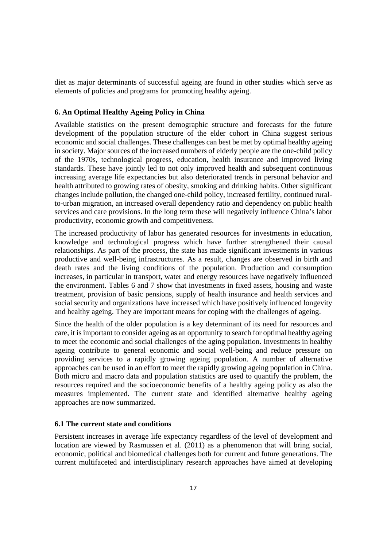diet as major determinants of successful ageing are found in other studies which serve as elements of policies and programs for promoting healthy ageing.

#### **6. An Optimal Healthy Ageing Policy in China**

Available statistics on the present demographic structure and forecasts for the future development of the population structure of the elder cohort in China suggest serious economic and social challenges. These challenges can best be met by optimal healthy ageing in society. Major sources of the increased numbers of elderly people are the one-child policy of the 1970s, technological progress, education, health insurance and improved living standards. These have jointly led to not only improved health and subsequent continuous increasing average life expectancies but also deteriorated trends in personal behavior and health attributed to growing rates of obesity, smoking and drinking habits. Other significant changes include pollution, the changed one-child policy, increased fertility, continued ruralto-urban migration, an increased overall dependency ratio and dependency on public health services and care provisions. In the long term these will negatively influence China's labor productivity, economic growth and competitiveness.

The increased productivity of labor has generated resources for investments in education, knowledge and technological progress which have further strengthened their causal relationships. As part of the process, the state has made significant investments in various productive and well-being infrastructures. As a result, changes are observed in birth and death rates and the living conditions of the population. Production and consumption increases, in particular in transport, water and energy resources have negatively influenced the environment. Tables 6 and 7 show that investments in fixed assets, housing and waste treatment, provision of basic pensions, supply of health insurance and health services and social security and organizations have increased which have positively influenced longevity and healthy ageing. They are important means for coping with the challenges of ageing.

Since the health of the older population is a key determinant of its need for resources and care, it is important to consider ageing as an opportunity to search for optimal healthy ageing to meet the economic and social challenges of the aging population. Investments in healthy ageing contribute to general economic and social well-being and reduce pressure on providing services to a rapidly growing ageing population. A number of alternative approaches can be used in an effort to meet the rapidly growing ageing population in China. Both micro and macro data and population statistics are used to quantify the problem, the resources required and the socioeconomic benefits of a healthy ageing policy as also the measures implemented. The current state and identified alternative healthy ageing approaches are now summarized.

### **6.1 The current state and conditions**

Persistent increases in average life expectancy regardless of the level of development and location are viewed by Rasmussen et al. (2011) as a phenomenon that will bring social, economic, political and biomedical challenges both for current and future generations. The current multifaceted and interdisciplinary research approaches have aimed at developing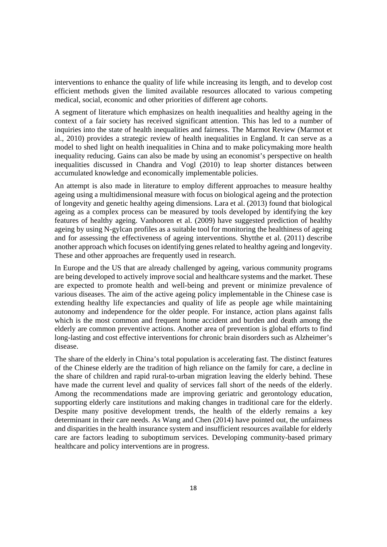interventions to enhance the quality of life while increasing its length, and to develop cost efficient methods given the limited available resources allocated to various competing medical, social, economic and other priorities of different age cohorts.

A segment of literature which emphasizes on health inequalities and healthy ageing in the context of a fair society has received significant attention. This has led to a number of inquiries into the state of health inequalities and fairness. The Marmot Review (Marmot et al., 2010) provides a strategic review of health inequalities in England. It can serve as a model to shed light on health inequalities in China and to make policymaking more health inequality reducing. Gains can also be made by using an economist's perspective on health inequalities discussed in Chandra and Vogl (2010) to leap shorter distances between accumulated knowledge and economically implementable policies.

An attempt is also made in literature to employ different approaches to measure healthy ageing using a multidimensional measure with focus on biological ageing and the protection of longevity and genetic healthy ageing dimensions. Lara et al. (2013) found that biological ageing as a complex process can be measured by tools developed by identifying the key features of healthy ageing. Vanhooren et al. (2009) have suggested prediction of healthy ageing by using N-gylcan profiles as a suitable tool for monitoring the healthiness of ageing and for assessing the effectiveness of ageing interventions. Shytthe et al. (2011) describe another approach which focuses on identifying genes related to healthy ageing and longevity. These and other approaches are frequently used in research.

In Europe and the US that are already challenged by ageing, various community programs are being developed to actively improve social and healthcare systems and the market. These are expected to promote health and well-being and prevent or minimize prevalence of various diseases. The aim of the active ageing policy implementable in the Chinese case is extending healthy life expectancies and quality of life as people age while maintaining autonomy and independence for the older people. For instance, action plans against falls which is the most common and frequent home accident and burden and death among the elderly are common preventive actions. Another area of prevention is global efforts to find long-lasting and cost effective interventions for chronic brain disorders such as Alzheimer's disease.

The share of the elderly in China's total population is accelerating fast. The distinct features of the Chinese elderly are the tradition of high reliance on the family for care, a decline in the share of children and rapid rural-to-urban migration leaving the elderly behind. These have made the current level and quality of services fall short of the needs of the elderly. Among the recommendations made are improving geriatric and gerontology education, supporting elderly care institutions and making changes in traditional care for the elderly. Despite many positive development trends, the health of the elderly remains a key determinant in their care needs. As Wang and Chen (2014) have pointed out, the unfairness and disparities in the health insurance system and insufficient resources available for elderly care are factors leading to suboptimum services. Developing community-based primary healthcare and policy interventions are in progress.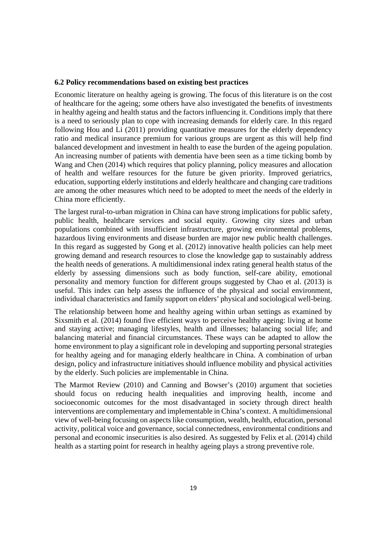#### **6.2 Policy recommendations based on existing best practices**

Economic literature on healthy ageing is growing. The focus of this literature is on the cost of healthcare for the ageing; some others have also investigated the benefits of investments in healthy ageing and health status and the factors influencing it. Conditions imply that there is a need to seriously plan to cope with increasing demands for elderly care. In this regard following Hou and Li (2011) providing quantitative measures for the elderly dependency ratio and medical insurance premium for various groups are urgent as this will help find balanced development and investment in health to ease the burden of the ageing population. An increasing number of patients with dementia have been seen as a time ticking bomb by Wang and Chen (2014) which requires that policy planning, policy measures and allocation of health and welfare resources for the future be given priority. Improved geriatrics, education, supporting elderly institutions and elderly healthcare and changing care traditions are among the other measures which need to be adopted to meet the needs of the elderly in China more efficiently.

The largest rural-to-urban migration in China can have strong implications for public safety, public health, healthcare services and social equity. Growing city sizes and urban populations combined with insufficient infrastructure, growing environmental problems, hazardous living environments and disease burden are major new public health challenges. In this regard as suggested by Gong et al. (2012) innovative health policies can help meet growing demand and research resources to close the knowledge gap to sustainably address the health needs of generations. A multidimensional index rating general health status of the elderly by assessing dimensions such as body function, self-care ability, emotional personality and memory function for different groups suggested by Chao et al. (2013) is useful. This index can help assess the influence of the physical and social environment, individual characteristics and family support on elders' physical and sociological well-being.

The relationship between home and healthy ageing within urban settings as examined by Sixsmith et al. (2014) found five efficient ways to perceive healthy ageing: living at home and staying active; managing lifestyles, health and illnesses; balancing social life; and balancing material and financial circumstances. These ways can be adapted to allow the home environment to play a significant role in developing and supporting personal strategies for healthy ageing and for managing elderly healthcare in China. A combination of urban design, policy and infrastructure initiatives should influence mobility and physical activities by the elderly. Such policies are implementable in China.

The Marmot Review (2010) and Canning and Bowser's (2010) argument that societies should focus on reducing health inequalities and improving health, income and socioeconomic outcomes for the most disadvantaged in society through direct health interventions are complementary and implementable in China's context. A multidimensional view of well-being focusing on aspects like consumption, wealth, health, education, personal activity, political voice and governance, social connectedness, environmental conditions and personal and economic insecurities is also desired. As suggested by Felix et al. (2014) child health as a starting point for research in healthy ageing plays a strong preventive role.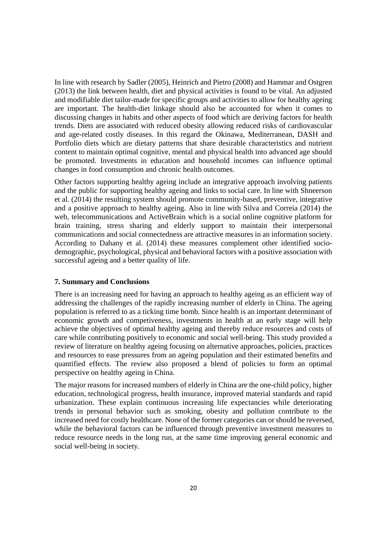In line with research by Sadler (2005), Heinrich and Pietro (2008) and Hammar and Ostgren (2013) the link between health, diet and physical activities is found to be vital. An adjusted and modifiable diet tailor-made for specific groups and activities to allow for healthy ageing are important. The health-diet linkage should also be accounted for when it comes to discussing changes in habits and other aspects of food which are deriving factors for health trends. Diets are associated with reduced obesity allowing reduced risks of cardiovascular and age-related costly diseases. In this regard the Okinawa, Mediterranean, DASH and Portfolio diets which are dietary patterns that share desirable characteristics and nutrient content to maintain optimal cognitive, mental and physical health into advanced age should be promoted. Investments in education and household incomes can influence optimal changes in food consumption and chronic health outcomes.

Other factors supporting healthy ageing include an integrative approach involving patients and the public for supporting healthy ageing and links to social care. In line with Shneerson et al. (2014) the resulting system should promote community-based, preventive, integrative and a positive approach to healthy ageing. Also in line with Silva and Correia (2014) the web, telecommunications and ActiveBrain which is a social online cognitive platform for brain training, stress sharing and elderly support to maintain their interpersonal communications and social connectedness are attractive measures in an information society. According to Dahany et al. (2014) these measures complement other identified sociodemographic, psychological, physical and behavioral factors with a positive association with successful ageing and a better quality of life.

#### **7. Summary and Conclusions**

There is an increasing need for having an approach to healthy ageing as an efficient way of addressing the challenges of the rapidly increasing number of elderly in China. The ageing population is referred to as a ticking time bomb. Since health is an important determinant of economic growth and competiveness, investments in health at an early stage will help achieve the objectives of optimal healthy ageing and thereby reduce resources and costs of care while contributing positively to economic and social well-being. This study provided a review of literature on healthy ageing focusing on alternative approaches, policies, practices and resources to ease pressures from an ageing population and their estimated benefits and quantified effects. The review also proposed a blend of policies to form an optimal perspective on healthy ageing in China.

The major reasons for increased numbers of elderly in China are the one-child policy, higher education, technological progress, health insurance, improved material standards and rapid urbanization. These explain continuous increasing life expectancies while deteriorating trends in personal behavior such as smoking, obesity and pollution contribute to the increased need for costly healthcare. None of the former categories can or should be reversed, while the behavioral factors can be influenced through preventive investment measures to reduce resource needs in the long run, at the same time improving general economic and social well-being in society.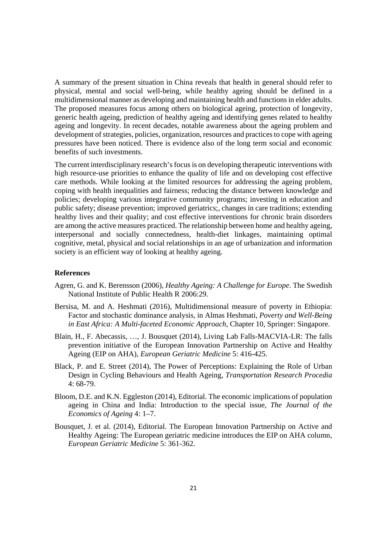A summary of the present situation in China reveals that health in general should refer to physical, mental and social well-being, while healthy ageing should be defined in a multidimensional manner as developing and maintaining health and functions in elder adults. The proposed measures focus among others on biological ageing, protection of longevity, generic health ageing, prediction of healthy ageing and identifying genes related to healthy ageing and longevity. In recent decades, notable awareness about the ageing problem and development of strategies, policies, organization, resources and practices to cope with ageing pressures have been noticed. There is evidence also of the long term social and economic benefits of such investments.

The current interdisciplinary research's focus is on developing therapeutic interventions with high resource-use priorities to enhance the quality of life and on developing cost effective care methods. While looking at the limited resources for addressing the ageing problem, coping with health inequalities and fairness; reducing the distance between knowledge and policies; developing various integrative community programs; investing in education and public safety; disease prevention; improved geriatrics;, changes in care traditions; extending healthy lives and their quality; and cost effective interventions for chronic brain disorders are among the active measures practiced. The relationship between home and healthy ageing, interpersonal and socially connectedness, health-diet linkages, maintaining optimal cognitive, metal, physical and social relationships in an age of urbanization and information society is an efficient way of looking at healthy ageing.

#### **References**

- Agren, G. and K. Berensson (2006), *Healthy Ageing: A Challenge for Europe*. The Swedish National Institute of Public Health R 2006:29.
- Bersisa, M. and A. Heshmati (2016), Multidimensional measure of poverty in Ethiopia: Factor and stochastic dominance analysis, in Almas Heshmati, *Poverty and Well-Being in East Africa: A Multi-faceted Economic Approach*, Chapter 10, Springer: Singapore.
- Blain, H., F. Abecassis, …, J. Bousquet (2014), Living Lab Falls-MACVIA-LR: The falls prevention initiative of the European Innovation Partnership on Active and Healthy Ageing (EIP on AHA), *European Geriatric Medicine* 5: 416-425.
- Black, P. and E. Street (2014), The Power of Perceptions: Explaining the Role of Urban Design in Cycling Behaviours and Health Ageing, *Transportation Research Procedia* 4: 68-79.
- Bloom, D.E. and K.N. Eggleston (2014), Editorial. The economic implications of population ageing in China and India: Introduction to the special issue, *The Journal of the Economics of Ageing* 4: 1–7.
- Bousquet, J. et al. (2014), Editorial. The European Innovation Partnership on Active and Healthy Ageing: The European geriatric medicine introduces the EIP on AHA column, *European Geriatric Medicine* 5: 361-362.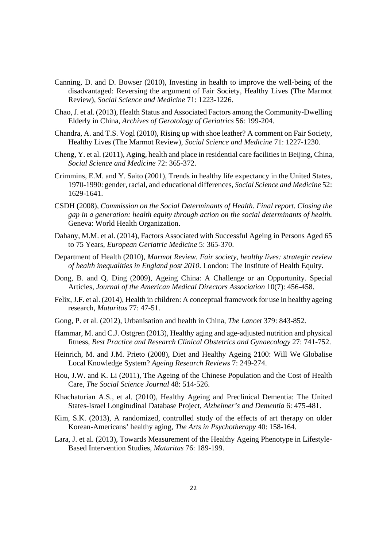- Canning, D. and D. Bowser (2010), Investing in health to improve the well-being of the disadvantaged: Reversing the argument of Fair Society, Healthy Lives (The Marmot Review), *Social Science and Medicine* 71: 1223-1226.
- Chao, J. et al. (2013), Health Status and Associated Factors among the Community-Dwelling Elderly in China, *Archives of Gerotology of Geriatrics* 56: 199-204.
- Chandra, A. and T.S. Vogl (2010), Rising up with shoe leather? A comment on Fair Society, Healthy Lives (The Marmot Review), *Social Science and Medicine* 71: 1227-1230.
- Cheng, Y. et al. (2011), Aging, health and place in residential care facilities in Beijing, China, *Social Science and Medicine* 72: 365-372.
- Crimmins, E.M. and Y. Saito (2001), Trends in healthy life expectancy in the United States, 1970-1990: gender, racial, and educational differences, *Social Science and Medicine* 52: 1629-1641.
- CSDH (2008), *Commission on the Social Determinants of Health. Final report. Closing the gap in a generation: health equity through action on the social determinants of health.* Geneva: World Health Organization.
- Dahany, M.M. et al. (2014), Factors Associated with Successful Ageing in Persons Aged 65 to 75 Years, *European Geriatric Medicine* 5: 365-370.
- Department of Health (2010), *Marmot Review. Fair society, healthy lives: strategic review of health inequalities in England post 2010*. London: The Institute of Health Equity.
- Dong, B. and Q. Ding (2009), Ageing China: A Challenge or an Opportunity. Special Articles, *Journal of the American Medical Directors Association* 10(7): 456-458.
- Felix, J.F. et al. (2014), Health in children: A conceptual framework for use in healthy ageing research, *Maturitas* 77: 47-51.
- Gong, P. et al. (2012), Urbanisation and health in China, *The Lancet* 379: 843-852.
- Hammar, M. and C.J. Ostgren (2013), Healthy aging and age-adjusted nutrition and physical fitness, *Best Practice and Research Clinical Obstetrics and Gynaecology* 27: 741-752.
- Heinrich, M. and J.M. Prieto (2008), Diet and Healthy Ageing 2100: Will We Globalise Local Knowledge System? *Ageing Research Reviews* 7: 249-274.
- Hou, J.W. and K. Li (2011), The Ageing of the Chinese Population and the Cost of Health Care, *The Social Science Journal* 48: 514-526.
- Khachaturian A.S., et al. (2010), Healthy Ageing and Preclinical Dementia: The United States-Israel Longitudinal Database Project, *Alzheimer's and Dementia* 6: 475-481.
- Kim, S.K. (2013), A randomized, controlled study of the effects of art therapy on older Korean-Americans' healthy aging, *The Arts in Psychotherapy* 40: 158-164.
- Lara, J. et al. (2013), Towards Measurement of the Healthy Ageing Phenotype in Lifestyle-Based Intervention Studies, *Maturitas* 76: 189-199.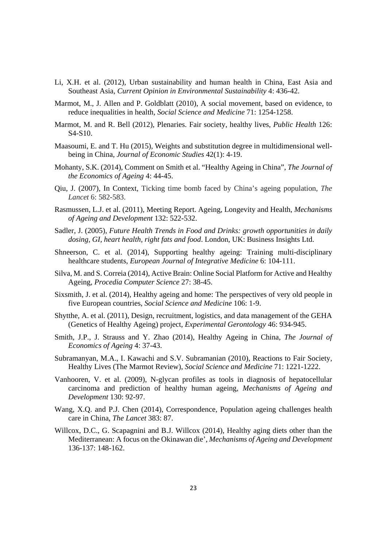- Li, X.H. et al. (2012), Urban sustainability and human health in China, East Asia and Southeast Asia, *Current Opinion in Environmental Sustainability* 4: 436-42.
- Marmot, M., J. Allen and P. Goldblatt (2010), A social movement, based on evidence, to reduce inequalities in health, *Social Science and Medicine* 71: 1254-1258.
- Marmot, M. and R. Bell (2012), Plenaries. Fair society, healthy lives, *Public Health* 126: S4-S10.
- Maasoumi, E. and T. Hu (2015), Weights and substitution degree in multidimensional wellbeing in China, *Journal of Economic Studies* 42(1): 4-19.
- Mohanty, S.K. (2014), Comment on Smith et al. "Healthy Ageing in China", *The Journal of the Economics of Ageing* 4: 44-45.
- Qiu, J. (2007), In Context, Ticking time bomb faced by China's ageing population, *The Lancet* 6: 582-583.
- Rasmussen, L.J. et al. (2011), Meeting Report. Ageing, Longevity and Health, *Mechanisms of Ageing and Development* 132: 522-532.
- Sadler, J. (2005), *Future Health Trends in Food and Drinks: growth opportunities in daily dosing, GI, heart health, right fats and food*. London, UK: Business Insights Ltd.
- Shneerson, C. et al. (2014), Supporting healthy ageing: Training multi-disciplinary healthcare students, *European Journal of Integrative Medicine* 6: 104-111.
- Silva, M. and S. Correia (2014), Active Brain: Online Social Platform for Active and Healthy Ageing, *Procedia Computer Science* 27: 38-45.
- Sixsmith, J. et al. (2014), Healthy ageing and home: The perspectives of very old people in five European countries, *Social Science and Medicine* 106: 1-9.
- Shytthe, A. et al. (2011), Design, recruitment, logistics, and data management of the GEHA (Genetics of Healthy Ageing) project, *Experimental Gerontology* 46: 934-945.
- Smith, J.P., J. Strauss and Y. Zhao (2014), Healthy Ageing in China, *The Journal of Economics of Ageing* 4: 37-43.
- Subramanyan, M.A., I. Kawachi and S.V. Subramanian (2010), Reactions to Fair Society, Healthy Lives (The Marmot Review), *Social Science and Medicine* 71: 1221-1222.
- Vanhooren, V. et al. (2009), N-glycan profiles as tools in diagnosis of hepatocellular carcinoma and prediction of healthy human ageing, *Mechanisms of Ageing and Development* 130: 92-97.
- Wang, X.Q. and P.J. Chen (2014), Correspondence, Population ageing challenges health care in China, *The Lancet* 383: 87.
- Willcox, D.C., G. Scapagnini and B.J. Willcox (2014), Healthy aging diets other than the Mediterranean: A focus on the Okinawan die', *Mechanisms of Ageing and Development* 136-137: 148-162.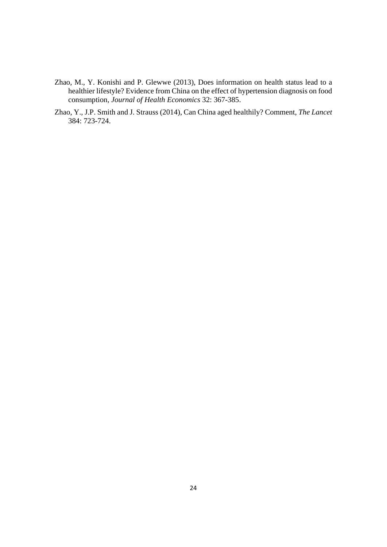- Zhao, M., Y. Konishi and P. Glewwe (2013), Does information on health status lead to a healthier lifestyle? Evidence from China on the effect of hypertension diagnosis on food consumption, *Journal of Health Economics* 32: 367-385.
- Zhao, Y., J.P. Smith and J. Strauss (2014), Can China aged healthily? Comment, *The Lancet* 384: 723-724.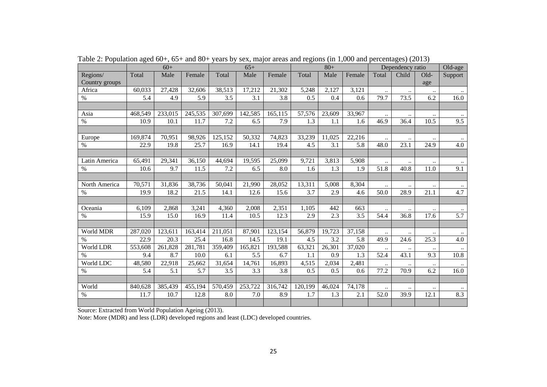|                |         | $60+$   |         | $65+$   |         |         |         | $80+$  |        | Dependency ratio |           |           | Old-age   |
|----------------|---------|---------|---------|---------|---------|---------|---------|--------|--------|------------------|-----------|-----------|-----------|
| Regions/       | Total   | Male    | Female  | Total   | Male    | Female  | Total   | Male   | Female | Total            | Child     | $Old-$    | Support   |
| Country groups |         |         |         |         |         |         |         |        |        |                  |           | age       |           |
| Africa         | 60,033  | 27,428  | 32,606  | 38,513  | 17,212  | 21,302  | 5,248   | 2,127  | 3,121  | $\ldots$         | $\ddotsc$ | $\ddotsc$ | $\ldots$  |
| $\%$           | 5.4     | 4.9     | 5.9     | 3.5     | 3.1     | 3.8     | 0.5     | 0.4    | 0.6    | 79.7             | 73.5      | 6.2       | 16.0      |
|                |         |         |         |         |         |         |         |        |        |                  |           |           |           |
| Asia           | 468,549 | 233,015 | 245,535 | 307,699 | 142,585 | 165,115 | 57,576  | 23,609 | 33,967 |                  |           |           |           |
| $\%$           | 10.9    | 10.1    | 11.7    | 7.2     | 6.5     | 7.9     | 1.3     | 1.1    | 1.6    | 46.9             | 36.4      | 10.5      | 9.5       |
|                |         |         |         |         |         |         |         |        |        |                  |           |           |           |
| Europe         | 169,874 | 70,951  | 98,926  | 125,152 | 50,332  | 74,823  | 33,239  | 11,025 | 22,216 |                  |           | $\ddotsc$ | $\cdots$  |
| $\%$           | 22.9    | 19.8    | 25.7    | 16.9    | 14.1    | 19.4    | 4.5     | 3.1    | 5.8    | 48.0             | 23.1      | 24.9      | 4.0       |
|                |         |         |         |         |         |         |         |        |        |                  |           |           |           |
| Latin America  | 65,491  | 29,341  | 36,150  | 44,694  | 19,595  | 25,099  | 9,721   | 3,813  | 5,908  | $\ddotsc$        |           | $\ddotsc$ |           |
| $\%$           | 10.6    | 9.7     | 11.5    | 7.2     | 6.5     | 8.0     | 1.6     | 1.3    | 1.9    | 51.8             | 40.8      | 11.0      | 9.1       |
|                |         |         |         |         |         |         |         |        |        |                  |           |           |           |
| North America  | 70,571  | 31,836  | 38,736  | 50,041  | 21,990  | 28,052  | 13,311  | 5,008  | 8,304  | $\ddotsc$        | $\ddotsc$ | $\ldots$  | $\ddotsc$ |
| $\%$           | 19.9    | 18.2    | 21.5    | 14.1    | 12.6    | 15.6    | 3.7     | 2.9    | 4.6    | 50.0             | 28.9      | 21.1      | 4.7       |
|                |         |         |         |         |         |         |         |        |        |                  |           |           |           |
| Oceania        | 6,109   | 2,868   | 3,241   | 4,360   | 2,008   | 2,351   | 1,105   | 442    | 663    |                  |           | $\ldots$  |           |
| $\%$           | 15.9    | 15.0    | 16.9    | 11.4    | 10.5    | 12.3    | 2.9     | 2.3    | 3.5    | 54.4             | 36.8      | 17.6      | 5.7       |
|                |         |         |         |         |         |         |         |        |        |                  |           |           |           |
| World MDR      | 287,020 | 123,611 | 163,414 | 211,051 | 87,901  | 123,154 | 56,879  | 19,723 | 37,158 | $\ddotsc$        | $\ddotsc$ | $\ddotsc$ |           |
| $\%$           | 22.9    | 20.3    | 25.4    | 16.8    | 14.5    | 19.1    | 4.5     | 3.2    | 5.8    | 49.9             | 24.6      | 25.3      | 4.0       |
| World LDR      | 553,608 | 261,828 | 281,781 | 359,409 | 165,821 | 193,588 | 63,321  | 26,301 | 37,020 | $\ddotsc$        | $\ddotsc$ | $\ddotsc$ | $\ldots$  |
| $\%$           | 9.4     | 8.7     | 10.0    | 6.1     | 5.5     | 6.7     | 1.1     | 0.9    | 1.3    | 52.4             | 43.1      | 9.3       | 10.8      |
| World LDC      | 48,580  | 22,918  | 25,662  | 31,654  | 14,761  | 16,893  | 4,515   | 2,034  | 2,481  |                  |           |           |           |
| $\%$           | 5.4     | 5.1     | 5.7     | 3.5     | 3.3     | 3.8     | 0.5     | 0.5    | 0.6    | 77.2             | 70.9      | 6.2       | 16.0      |
|                |         |         |         |         |         |         |         |        |        |                  |           |           |           |
| World          | 840,628 | 385,439 | 455,194 | 570,459 | 253,722 | 316,742 | 120,199 | 46,024 | 74,178 |                  | $\ddotsc$ | $\ddotsc$ |           |
| $\%$           | 11.7    | 10.7    | 12.8    | 8.0     | 7.0     | 8.9     | 1.7     | 1.3    | 2.1    | 52.0             | 39.9      | 12.1      | 8.3       |
|                |         |         |         |         |         |         |         |        |        |                  |           |           |           |

Table 2: Population aged 60+, 65+ and 80+ years by sex, major areas and regions (in 1,000 and percentages) (2013)

Source: Extracted from World Population Ageing (2013).

Note: More (MDR) and less (LDR) developed regions and least (LDC) developed countries.